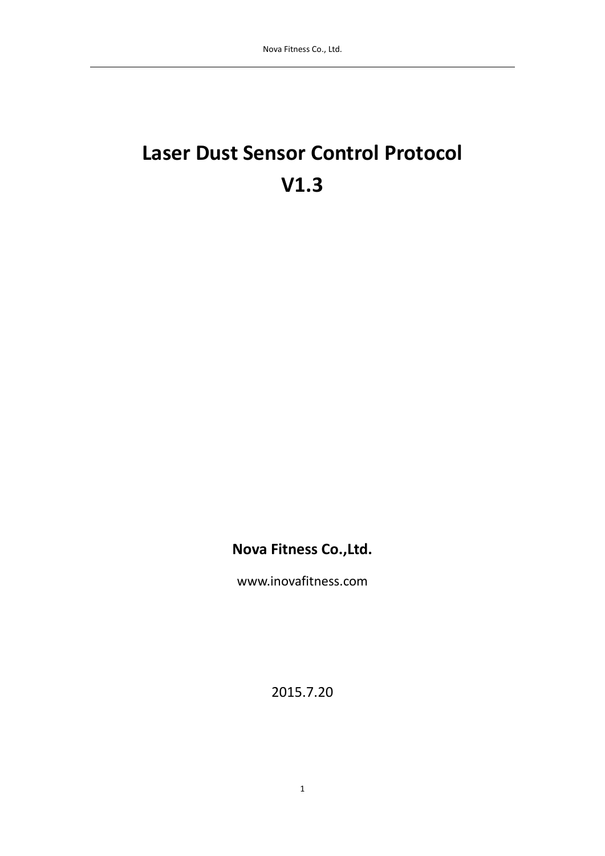# **Laser Dust Sensor Control Protocol V1.3**

**Nova Fitness Co.,Ltd.**

www.inovafitness.com

2015.7.20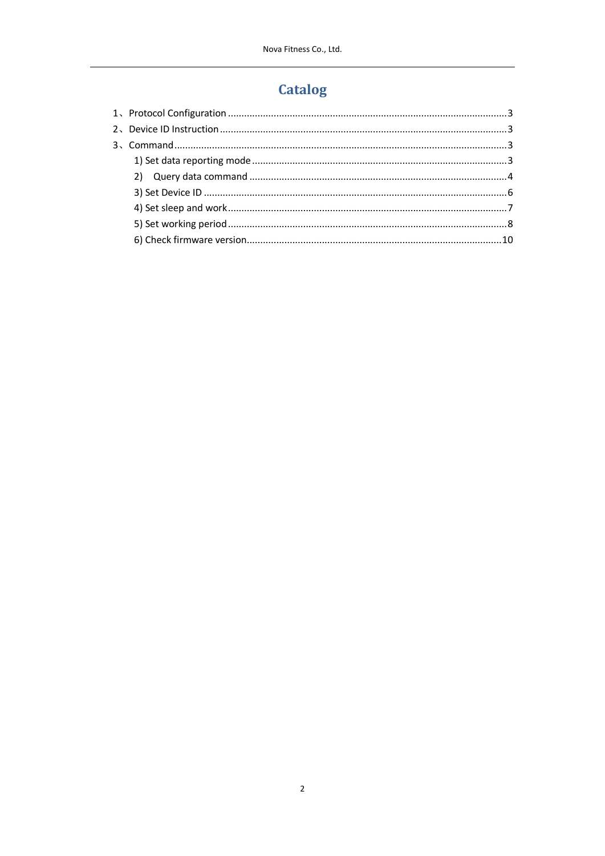# **Catalog**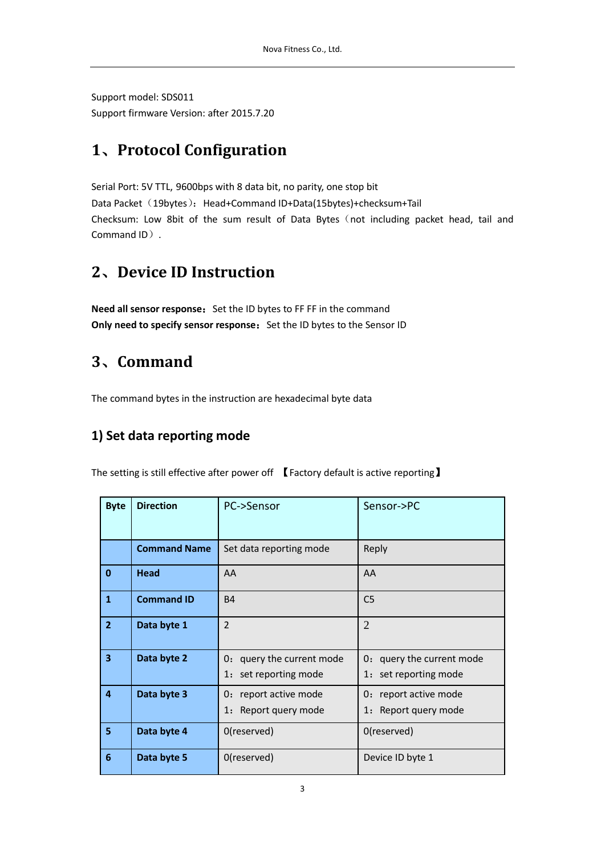Support model: SDS011 Support firmware Version: after 2015.7.20

# <span id="page-2-0"></span>**1**、**Protocol Configuration**

Serial Port: 5V TTL, 9600bps with 8 data bit, no parity, one stop bit Data Packet (19bytes): Head+Command ID+Data(15bytes)+checksum+Tail Checksum: Low 8bit of the sum result of Data Bytes (not including packet head, tail and Command ID).

# <span id="page-2-1"></span>**2**、**Device ID Instruction**

**Need all sensor response:** Set the ID bytes to FF FF in the command **Only need to specify sensor response:** Set the ID bytes to the Sensor ID

# <span id="page-2-2"></span>**3**、**Command**

<span id="page-2-3"></span>The command bytes in the instruction are hexadecimal byte data

### **1) Set data reporting mode**

The setting is still effective after power off 【 Factory default is active reporting】

| <b>Byte</b>             | <b>Direction</b>    | PC->Sensor                                         | Sensor->PC                                         |
|-------------------------|---------------------|----------------------------------------------------|----------------------------------------------------|
|                         | <b>Command Name</b> | Set data reporting mode                            | Reply                                              |
| $\mathbf{0}$            | Head                | AA                                                 | AA                                                 |
| $\mathbf{1}$            | <b>Command ID</b>   | <b>B4</b>                                          | C <sub>5</sub>                                     |
| $\overline{2}$          | Data byte 1         | $\overline{2}$                                     | $\overline{2}$                                     |
| $\overline{\mathbf{3}}$ | Data byte 2         | 0: query the current mode<br>1: set reporting mode | 0: query the current mode<br>1: set reporting mode |
| 4                       | Data byte 3         | report active mode<br>0:<br>1: Report query mode   | 0: report active mode<br>1: Report query mode      |
| 5                       | Data byte 4         | 0(reserved)                                        | 0(reserved)                                        |
| 6                       | Data byte 5         | 0(reserved)                                        | Device ID byte 1                                   |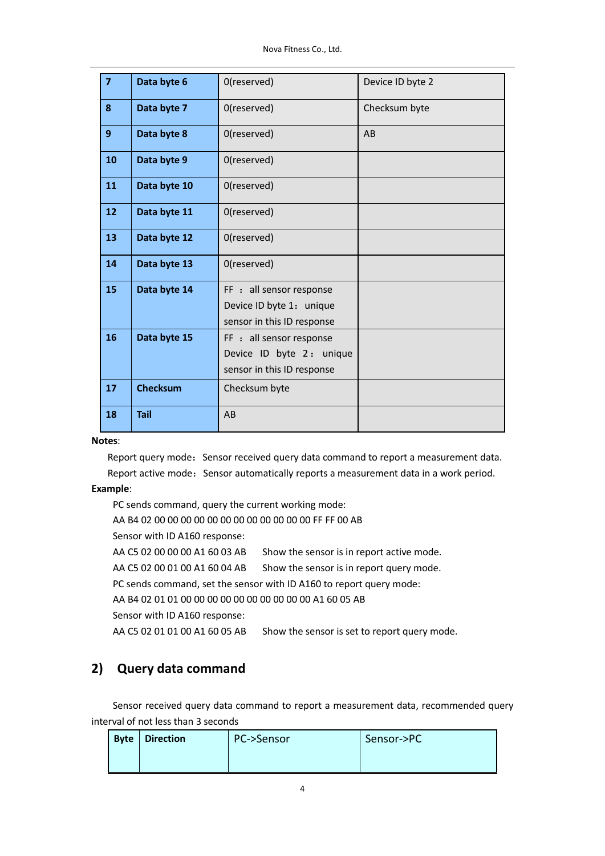Nova Fitness Co., Ltd.

| $\overline{\mathbf{z}}$ | Data byte 6     | 0(reserved)                                                                        | Device ID byte 2 |
|-------------------------|-----------------|------------------------------------------------------------------------------------|------------------|
| 8                       | Data byte 7     | 0(reserved)                                                                        | Checksum byte    |
| 9                       | Data byte 8     | 0(reserved)                                                                        | AB               |
| 10                      | Data byte 9     | 0(reserved)                                                                        |                  |
| 11                      | Data byte 10    | 0(reserved)                                                                        |                  |
| 12                      | Data byte 11    | 0(reserved)                                                                        |                  |
| 13                      | Data byte 12    | 0(reserved)                                                                        |                  |
| 14                      | Data byte 13    | 0(reserved)                                                                        |                  |
| 15                      | Data byte 14    | FF : all sensor response<br>Device ID byte 1: unique<br>sensor in this ID response |                  |
| 16                      | Data byte 15    | FF : all sensor response<br>Device ID byte 2: unique<br>sensor in this ID response |                  |
| 17                      | <b>Checksum</b> | Checksum byte                                                                      |                  |
| 18                      | <b>Tail</b>     | AB                                                                                 |                  |

#### **Notes**:

Report query mode: Sensor received query data command to report a measurement data. Report active mode: Sensor automatically reports a measurement data in a work period.

#### **Example**:

PC sends command, query the current working mode: AA B4 02 00 00 00 00 00 00 00 00 00 00 00 00 FF FF 00 AB Sensor with ID A160 response: AA C5 02 00 00 00 A1 60 03 AB Show the sensor is in report active mode. AA C5 02 00 01 00 A1 60 04 AB Show the sensor is in report query mode. PC sends command, set the sensor with ID A160 to report query mode: AA B4 02 01 01 00 00 00 00 00 00 00 00 00 00 A1 60 05 AB Sensor with ID A160 response: AA C5 02 01 01 00 A1 60 05 AB Show the sensor is set to report query mode.

### <span id="page-3-0"></span>**2) Query data command**

Sensor received query data command to report a measurement data, recommended query interval of not less than 3 seconds

| <b>Byte Direction</b> | PC->Sensor | Sensor->PC |
|-----------------------|------------|------------|
|                       |            |            |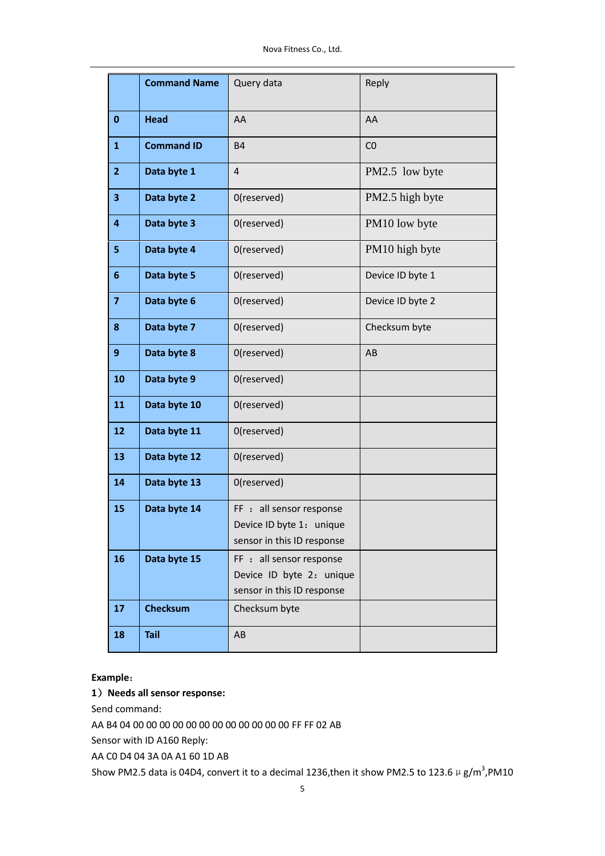Nova Fitness Co., Ltd.

|                         | <b>Command Name</b> | Query data                                                                         | Reply            |
|-------------------------|---------------------|------------------------------------------------------------------------------------|------------------|
| 0                       | <b>Head</b>         | AA                                                                                 | AA               |
| $\mathbf{1}$            | <b>Command ID</b>   | <b>B4</b>                                                                          | CO               |
| $\overline{2}$          | Data byte 1         | $\overline{4}$                                                                     | PM2.5 low byte   |
| 3                       | Data byte 2         | 0(reserved)                                                                        | PM2.5 high byte  |
| 4                       | Data byte 3         | 0(reserved)                                                                        | PM10 low byte    |
| 5                       | Data byte 4         | 0(reserved)                                                                        | PM10 high byte   |
| 6                       | Data byte 5         | 0(reserved)                                                                        | Device ID byte 1 |
| $\overline{\mathbf{z}}$ | Data byte 6         | 0(reserved)                                                                        | Device ID byte 2 |
| 8                       | Data byte 7         | 0(reserved)                                                                        | Checksum byte    |
| 9                       | Data byte 8         | 0(reserved)                                                                        | AB               |
| 10                      | Data byte 9         | 0(reserved)                                                                        |                  |
| 11                      | Data byte 10        | 0(reserved)                                                                        |                  |
| 12                      | Data byte 11        | 0(reserved)                                                                        |                  |
| 13                      | Data byte 12        | 0(reserved)                                                                        |                  |
| 14                      | Data byte 13        | 0(reserved)                                                                        |                  |
| 15                      | Data byte 14        | FF : all sensor response<br>Device ID byte 1: unique<br>sensor in this ID response |                  |
| 16                      | Data byte 15        | FF : all sensor response<br>Device ID byte 2: unique<br>sensor in this ID response |                  |
| 17                      | <b>Checksum</b>     | Checksum byte                                                                      |                  |
| 18                      | <b>Tail</b>         | AB                                                                                 |                  |

#### )**Needs all sensor response:**

Send command:

AA B4 04 00 00 00 00 00 00 00 00 00 00 00 00 FF FF 02 AB

Sensor with ID A160 Reply:

AA C0 D4 04 3A 0A A1 60 1D AB

Show PM2.5 data is 04D4, convert it to a decimal 1236,then it show PM2.5 to 123.6  $\mu$  g/m<sup>3</sup>,PM10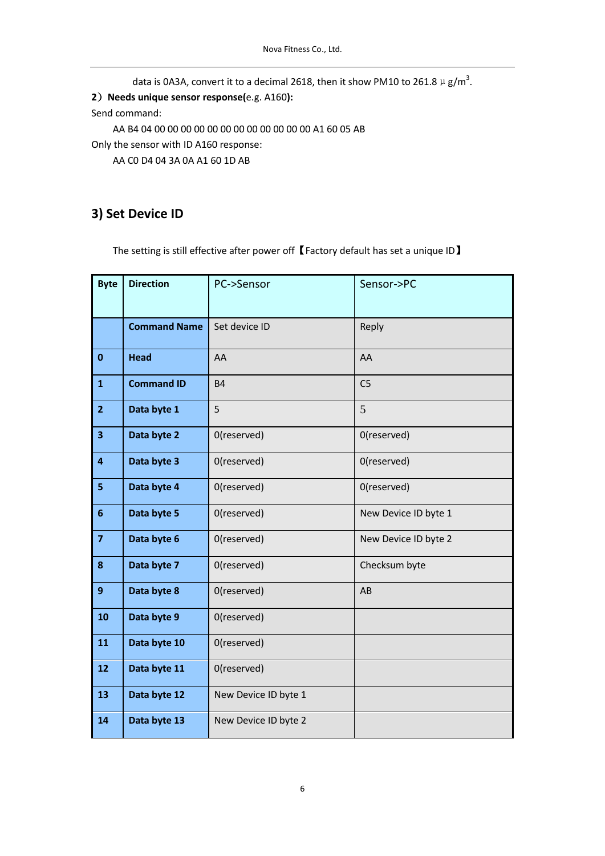data is 0A3A, convert it to a decimal 2618, then it show PM10 to 261.8  $\mu$  g/m<sup>3</sup>.

)**Needs unique sensor response(**e.g. A160**):**

Send command:

AA B4 04 00 00 00 00 00 00 00 00 00 00 00 00 A1 60 05 AB

Only the sensor with ID A160 response:

AA C0 D4 04 3A 0A A1 60 1D AB

### <span id="page-5-0"></span>**3) Set Device ID**

The setting is still effective after power off 【Factory default has set a unique ID】

| <b>Byte</b>             | <b>Direction</b>    | PC->Sensor           | Sensor->PC           |
|-------------------------|---------------------|----------------------|----------------------|
|                         | <b>Command Name</b> | Set device ID        | Reply                |
| $\bf{0}$                | <b>Head</b>         | AA                   | AA                   |
| $\mathbf{1}$            | <b>Command ID</b>   | <b>B4</b>            | C <sub>5</sub>       |
| $\overline{2}$          | Data byte 1         | 5                    | 5                    |
| $\overline{\mathbf{3}}$ | Data byte 2         | 0(reserved)          | 0(reserved)          |
| $\overline{\mathbf{4}}$ | Data byte 3         | 0(reserved)          | 0(reserved)          |
| 5                       | Data byte 4         | 0(reserved)          | 0(reserved)          |
| $6\phantom{a}$          | Data byte 5         | 0(reserved)          | New Device ID byte 1 |
| $\overline{7}$          | Data byte 6         | 0(reserved)          | New Device ID byte 2 |
| 8                       | Data byte 7         | 0(reserved)          | Checksum byte        |
| $\mathbf{9}$            | Data byte 8         | 0(reserved)          | AB                   |
| 10                      | Data byte 9         | 0(reserved)          |                      |
| 11                      | Data byte 10        | 0(reserved)          |                      |
| 12                      | Data byte 11        | 0(reserved)          |                      |
| 13                      | Data byte 12        | New Device ID byte 1 |                      |
| 14                      | Data byte 13        | New Device ID byte 2 |                      |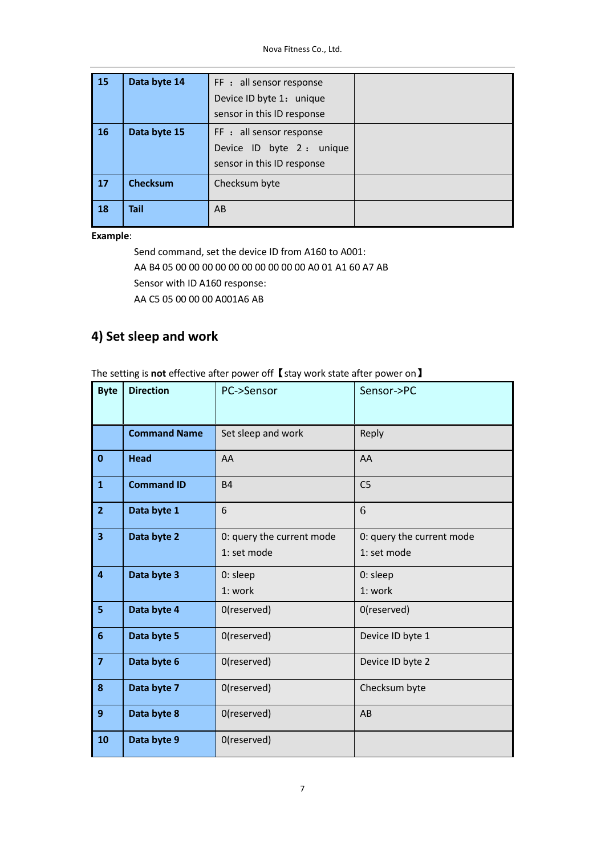| <b>15</b> | Data byte 14    | FF : all sensor response<br>Device ID byte 1: unique<br>sensor in this ID response  |  |
|-----------|-----------------|-------------------------------------------------------------------------------------|--|
| <b>16</b> | Data byte 15    | FF : all sensor response<br>Device ID byte 2 : unique<br>sensor in this ID response |  |
| 17        | <b>Checksum</b> | Checksum byte                                                                       |  |
| 18        | <b>Tail</b>     | AB                                                                                  |  |

Send command, set the device ID from A160 to A001: AA B4 05 00 00 00 00 00 00 00 00 00 00 A0 01 A1 60 A7 AB Sensor with ID A160 response: AA C5 05 00 00 00 A001A6 AB

## <span id="page-6-0"></span>**4) Set sleep and work**

The setting is **not** effective after power off【stay work state after power on】

| <b>Byte</b>             | <b>Direction</b>    | PC->Sensor                               | Sensor->PC                               |
|-------------------------|---------------------|------------------------------------------|------------------------------------------|
|                         | <b>Command Name</b> | Set sleep and work                       | Reply                                    |
| $\bf{0}$                | <b>Head</b>         | AA                                       | AA                                       |
| $\mathbf{1}$            | <b>Command ID</b>   | <b>B4</b>                                | C <sub>5</sub>                           |
| $\overline{2}$          | Data byte 1         | 6                                        | 6                                        |
| $\overline{\mathbf{3}}$ | Data byte 2         | 0: query the current mode<br>1: set mode | 0: query the current mode<br>1: set mode |
| $\overline{4}$          | Data byte 3         | 0: sleep<br>1: work                      | 0: sleep<br>1: work                      |
| 5                       | Data byte 4         | 0(reserved)                              | 0(reserved)                              |
| 6                       | Data byte 5         | 0(reserved)                              | Device ID byte 1                         |
| $\overline{7}$          | Data byte 6         | 0(reserved)                              | Device ID byte 2                         |
| 8                       | Data byte 7         | 0(reserved)                              | Checksum byte                            |
| $\boldsymbol{9}$        | Data byte 8         | 0(reserved)                              | AB                                       |
| 10                      | Data byte 9         | 0(reserved)                              |                                          |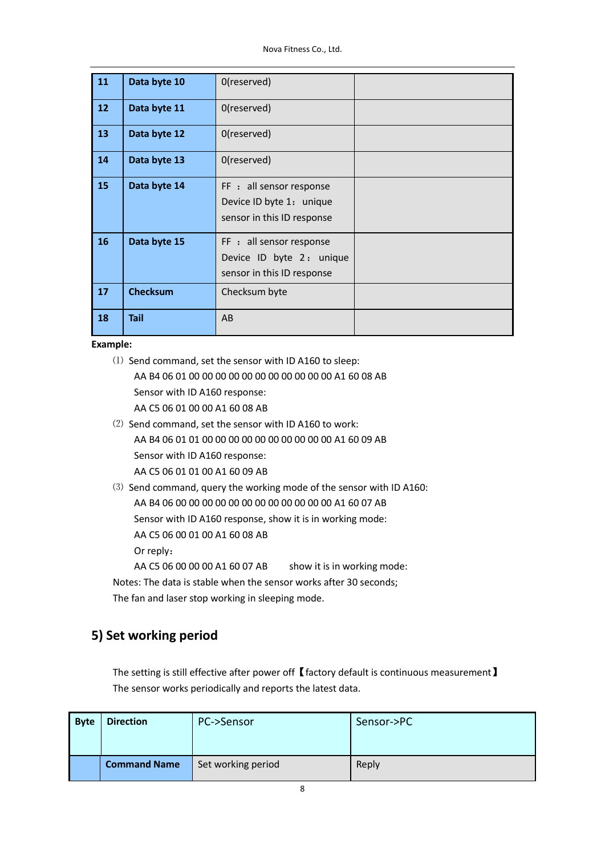Nova Fitness Co., Ltd.

| 11              | Data byte 10    | 0(reserved)                                                                        |  |
|-----------------|-----------------|------------------------------------------------------------------------------------|--|
| 12 <sup>2</sup> | Data byte 11    | 0(reserved)                                                                        |  |
| 13              | Data byte 12    | 0(reserved)                                                                        |  |
| 14              | Data byte 13    | 0(reserved)                                                                        |  |
| 15              | Data byte 14    | FF : all sensor response<br>Device ID byte 1: unique<br>sensor in this ID response |  |
| 16              | Data byte 15    | FF : all sensor response<br>Device ID byte 2: unique<br>sensor in this ID response |  |
| 17              | <b>Checksum</b> | Checksum byte                                                                      |  |
| 18              | <b>Tail</b>     | AB                                                                                 |  |

- ⑴ Send command, set the sensor with ID A160 to sleep: AA B4 06 01 00 00 00 00 00 00 00 00 00 00 00 A1 60 08 AB Sensor with ID A160 response: AA C5 06 01 00 00 A1 60 08 AB
- ⑵ Send command, set the sensor with ID A160 to work: AA B4 06 01 01 00 00 00 00 00 00 00 00 00 00 A1 60 09 AB Sensor with ID A160 response: AA C5 06 01 01 00 A1 60 09 AB
- ⑶ Send command, query the working mode of the sensor with ID A160: AA B4 06 00 00 00 00 00 00 00 00 00 00 00 00 A1 60 07 AB Sensor with ID A160 response, show it is in working mode: AA C5 06 00 01 00 A1 60 08 AB Or reply: AA C5 06 00 00 00 A1 60 07 AB show it is in working mode:

Notes: The data is stable when the sensor works after 30 seconds;

The fan and laser stop working in sleeping mode.

### <span id="page-7-0"></span>**5) Set working period**

The setting is still effective after power off 【factory default is continuous measurement】 The sensor works periodically and reports the latest data.

| <b>Byte</b> | <b>Direction</b>    | PC->Sensor         | Sensor->PC |
|-------------|---------------------|--------------------|------------|
|             | <b>Command Name</b> | Set working period | Reply      |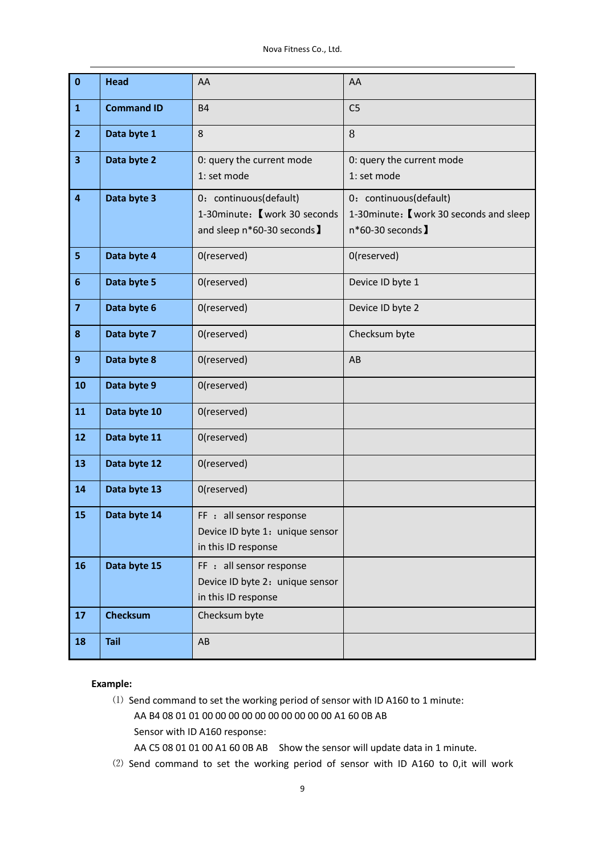| $\bf{0}$                | <b>Head</b>       | AA                                                                                    | AA                                                                                      |
|-------------------------|-------------------|---------------------------------------------------------------------------------------|-----------------------------------------------------------------------------------------|
| $\mathbf{1}$            | <b>Command ID</b> | <b>B4</b>                                                                             | C <sub>5</sub>                                                                          |
| $\overline{2}$          | Data byte 1       | 8                                                                                     | 8                                                                                       |
| $\overline{\mathbf{3}}$ | Data byte 2       | 0: query the current mode<br>1: set mode                                              | 0: query the current mode<br>1: set mode                                                |
| $\overline{4}$          | Data byte 3       | 0: continuous(default)<br>1-30minute: 【work 30 seconds<br>and sleep n*60-30 seconds ] | 0: continuous(default)<br>1-30 minute: [ work 30 seconds and sleep<br>n*60-30 seconds 】 |
| 5                       | Data byte 4       | 0(reserved)                                                                           | 0(reserved)                                                                             |
| $6\phantom{1}6$         | Data byte 5       | 0(reserved)                                                                           | Device ID byte 1                                                                        |
| $\overline{\mathbf{z}}$ | Data byte 6       | 0(reserved)                                                                           | Device ID byte 2                                                                        |
| 8                       | Data byte 7       | 0(reserved)                                                                           | Checksum byte                                                                           |
| 9                       | Data byte 8       | 0(reserved)                                                                           | AB                                                                                      |
| 10                      | Data byte 9       | 0(reserved)                                                                           |                                                                                         |
| 11                      | Data byte 10      | 0(reserved)                                                                           |                                                                                         |
| 12                      | Data byte 11      | 0(reserved)                                                                           |                                                                                         |
| 13                      | Data byte 12      | 0(reserved)                                                                           |                                                                                         |
| 14                      | Data byte 13      | 0(reserved)                                                                           |                                                                                         |
| 15                      | Data byte 14      | FF : all sensor response<br>Device ID byte 1: unique sensor<br>in this ID response    |                                                                                         |
| 16                      | Data byte 15      | FF : all sensor response<br>Device ID byte 2: unique sensor<br>in this ID response    |                                                                                         |
| 17                      | <b>Checksum</b>   | Checksum byte                                                                         |                                                                                         |
| 18                      | <b>Tail</b>       | AB                                                                                    |                                                                                         |

- ⑴ Send command to set the working period of sensor with ID A160 to 1 minute: AA B4 08 01 01 00 00 00 00 00 00 00 00 00 00 A1 60 0B AB Sensor with ID A160 response: AA C5 08 01 01 00 A1 60 0B AB Show the sensor will update data in 1 minute.
- ⑵ Send command to set the working period of sensor with ID A160 to 0,it will work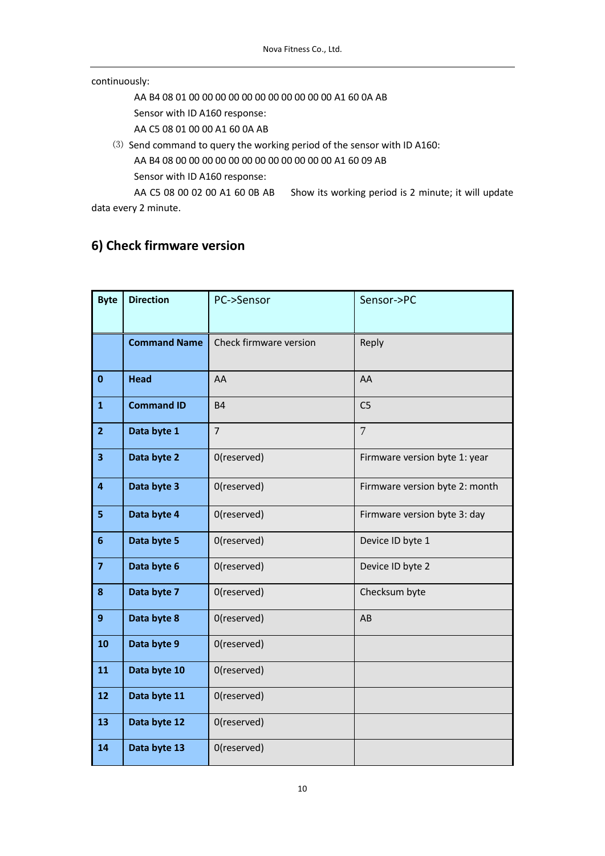#### continuously:

AA B4 08 01 00 00 00 00 00 00 00 00 00 00 00 A1 60 0A AB

Sensor with ID A160 response:

AA C5 08 01 00 00 A1 60 0A AB

⑶ Send command to query the working period of the sensor with ID A160: AA B4 08 00 00 00 00 00 00 00 00 00 00 00 00 A1 60 09 AB Sensor with ID A160 response:

AA C5 08 00 02 00 A1 60 0B AB Show its working period is 2 minute; it will update data every 2 minute.

### <span id="page-9-0"></span>**6) Check firmware version**

| <b>Byte</b>             | <b>Direction</b>    | PC->Sensor             | Sensor->PC                     |
|-------------------------|---------------------|------------------------|--------------------------------|
|                         |                     |                        |                                |
|                         | <b>Command Name</b> | Check firmware version | Reply                          |
|                         |                     |                        |                                |
| $\mathbf 0$             | <b>Head</b>         | AA                     | AA                             |
| $\mathbf{1}$            | <b>Command ID</b>   | <b>B4</b>              | C <sub>5</sub>                 |
| $\overline{2}$          | Data byte 1         | $\overline{7}$         | $\overline{7}$                 |
| $\overline{\mathbf{3}}$ | Data byte 2         | 0(reserved)            | Firmware version byte 1: year  |
| $\overline{4}$          | Data byte 3         | 0(reserved)            | Firmware version byte 2: month |
| 5                       | Data byte 4         | 0(reserved)            | Firmware version byte 3: day   |
| $6\phantom{1}$          | Data byte 5         | 0(reserved)            | Device ID byte 1               |
| $\overline{\mathbf{z}}$ | Data byte 6         | 0(reserved)            | Device ID byte 2               |
| 8                       | Data byte 7         | 0(reserved)            | Checksum byte                  |
| 9                       | Data byte 8         | 0(reserved)            | AB                             |
| 10                      | Data byte 9         | 0(reserved)            |                                |
| 11                      | Data byte 10        | 0(reserved)            |                                |
| 12                      | Data byte 11        | 0(reserved)            |                                |
| 13                      | Data byte 12        | 0(reserved)            |                                |
| 14                      | Data byte 13        | 0(reserved)            |                                |